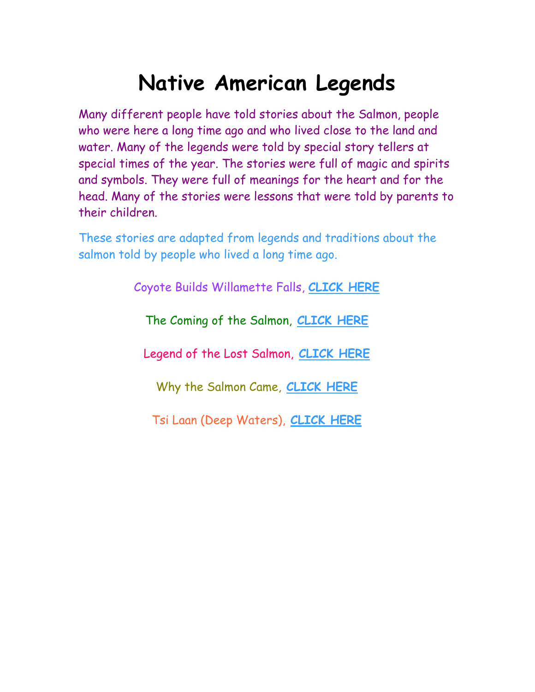### **Native American Legends**

<span id="page-0-0"></span>Many different people have told stories about the Salmon, people who were here a long time ago and who lived close to the land and water. Many of the legends were told by special story tellers at special times of the year. The stories were full of magic and spirits and symbols. They were full of meanings for the heart and for the head. Many of the stories were lessons that were told by parents to their children.

These stories are adapted from legends and traditions about the salmon told by people who lived a long time ago.

Coyote Builds Willamette Falls, **[CLICK HERE](http://www.fs.fed.us/r6/centraloregon/kids/kidssiteextras/games/legends/coyotebuilds.htm)**

The Coming of the Salmon, **[CLICK](http://www.fs.fed.us/r6/centraloregon/kids/kidssiteextras/games/legends/comingsalmon.htm) HERE**

Legend of the Lost Salmon, **[CLICK](http://www.fs.fed.us/r6/centraloregon/kids/kidssiteextras/games/legends/lostsalmon.htm) HERE**

Why the Salmon Came, **[CLICK](http://www.fs.fed.us/r6/centraloregon/kids/kidssiteextras/games/legends/whysalmon.htm) HERE**

Tsi Laan (Deep Waters), **[C](#page-11-0)[LICK](http://www.fs.fed.us/r6/centraloregon/kids/kidssiteextras/games/legends/tsilaan.htm) HERE**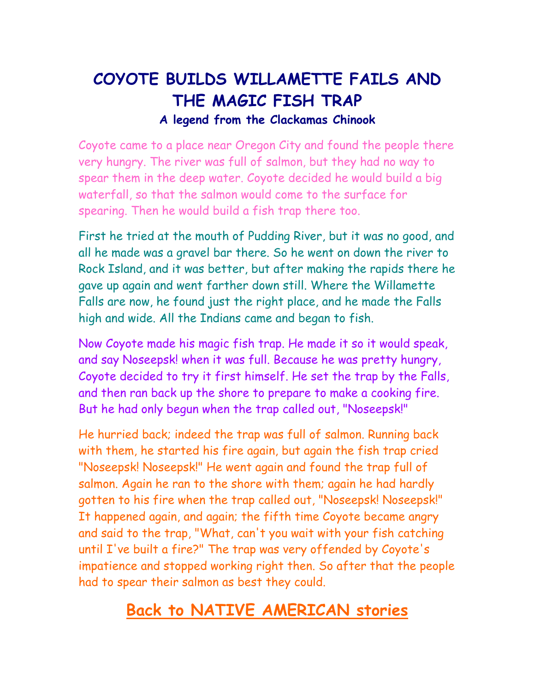### <span id="page-1-0"></span>**COYOTE BUILDS WILLAMETTE FAILS AND THE MAGIC FISH TRAP A legend from the Clackamas Chinook**

Coyote came to a place near Oregon City and found the people there very hungry. The river was full of salmon, but they had no way to spear them in the deep water. Coyote decided he would build a big waterfall, so that the salmon would come to the surface for spearing. Then he would build a fish trap there too.

First he tried at the mouth of Pudding River, but it was no good, and all he made was a gravel bar there. So he went on down the river to Rock Island, and it was better, but after making the rapids there he gave up again and went farther down still. Where the Willamette Falls are now, he found just the right place, and he made the Falls high and wide. All the Indians came and began to fish.

Now Coyote made his magic fish trap. He made it so it would speak, and say Noseepsk! when it was full. Because he was pretty hungry, Coyote decided to try it first himself. He set the trap by the Falls, and then ran back up the shore to prepare to make a cooking fire. But he had only begun when the trap called out, "Noseepsk!"

He hurried back; indeed the trap was full of salmon. Running back with them, he started his fire again, but again the fish trap cried "Noseepsk! Noseepsk!" He went again and found the trap full of salmon. Again he ran to the shore with them; again he had hardly gotten to his fire when the trap called out, "Noseepsk! Noseepsk!" It happened again, and again; the fifth time Coyote became angry and said to the trap, "What, can't you wait with your fish catching until I've built a fire?" The trap was very offended by Coyote's impatience and stopped working right then. So after that the people had to spear their salmon as best they could.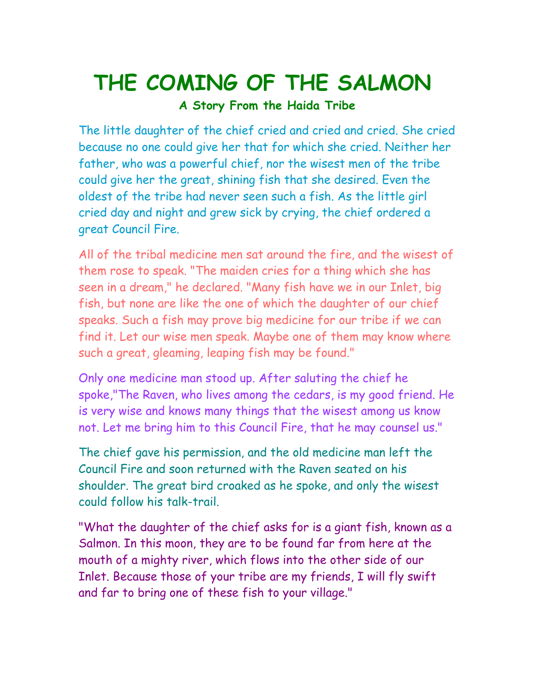# <span id="page-2-0"></span>**THE COMING OF THE SALMON**

**A Story From the Haida Tribe**

The little daughter of the chief cried and cried and cried. She cried because no one could give her that for which she cried. Neither her father, who was a powerful chief, nor the wisest men of the tribe could give her the great, shining fish that she desired. Even the oldest of the tribe had never seen such a fish. As the little girl cried day and night and grew sick by crying, the chief ordered a great Council Fire.

All of the tribal medicine men sat around the fire, and the wisest of them rose to speak. "The maiden cries for a thing which she has seen in a dream," he declared. "Many fish have we in our Inlet, big fish, but none are like the one of which the daughter of our chief speaks. Such a fish may prove big medicine for our tribe if we can find it. Let our wise men speak. Maybe one of them may know where such a great, gleaming, leaping fish may be found."

Only one medicine man stood up. After saluting the chief he spoke,"The Raven, who lives among the cedars, is my good friend. He is very wise and knows many things that the wisest among us know not. Let me bring him to this Council Fire, that he may counsel us."

The chief gave his permission, and the old medicine man left the Council Fire and soon returned with the Raven seated on his shoulder. The great bird croaked as he spoke, and only the wisest could follow his talk-trail.

"What the daughter of the chief asks for is a giant fish, known as a Salmon. In this moon, they are to be found far from here at the mouth of a mighty river, which flows into the other side of our Inlet. Because those of your tribe are my friends, I will fly swift and far to bring one of these fish to your village."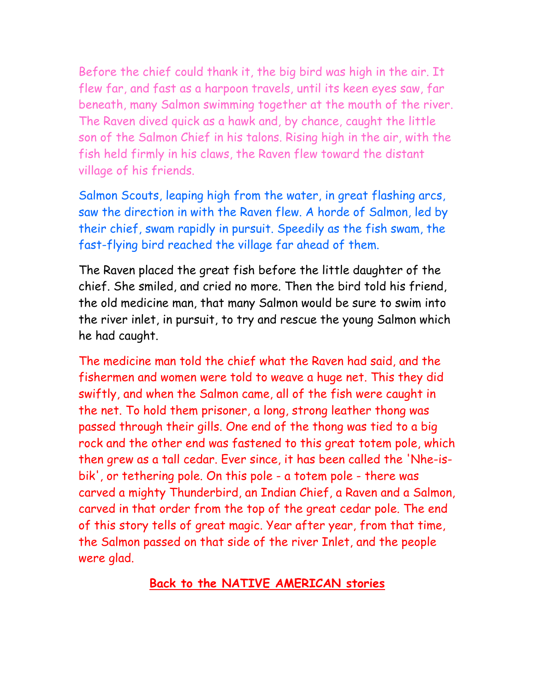Before the chief could thank it, the big bird was high in the air. It flew far, and fast as a harpoon travels, until its keen eyes saw, far beneath, many Salmon swimming together at the mouth of the river. The Raven dived quick as a hawk and, by chance, caught the little son of the Salmon Chief in his talons. Rising high in the air, with the fish held firmly in his claws, the Raven flew toward the distant village of his friends.

Salmon Scouts, leaping high from the water, in great flashing arcs, saw the direction in with the Raven flew. A horde of Salmon, led by their chief, swam rapidly in pursuit. Speedily as the fish swam, the fast-flying bird reached the village far ahead of them.

The Raven placed the great fish before the little daughter of the chief. She smiled, and cried no more. Then the bird told his friend, the old medicine man, that many Salmon would be sure to swim into the river inlet, in pursuit, to try and rescue the young Salmon which he had caught.

The medicine man told the chief what the Raven had said, and the fishermen and women were told to weave a huge net. This they did swiftly, and when the Salmon came, all of the fish were caught in the net. To hold them prisoner, a long, strong leather thong was passed through their gills. One end of the thong was tied to a big rock and the other end was fastened to this great totem pole, which then grew as a tall cedar. Ever since, it has been called the 'Nhe-isbik', or tethering pole. On this pole - a totem pole - there was carved a mighty Thunderbird, an Indian Chief, a Raven and a Salmon, carved in that order from the top of the great cedar pole. The end of this story tells of great magic. Year after year, from that time, the Salmon passed on that side of the river Inlet, and the people were glad.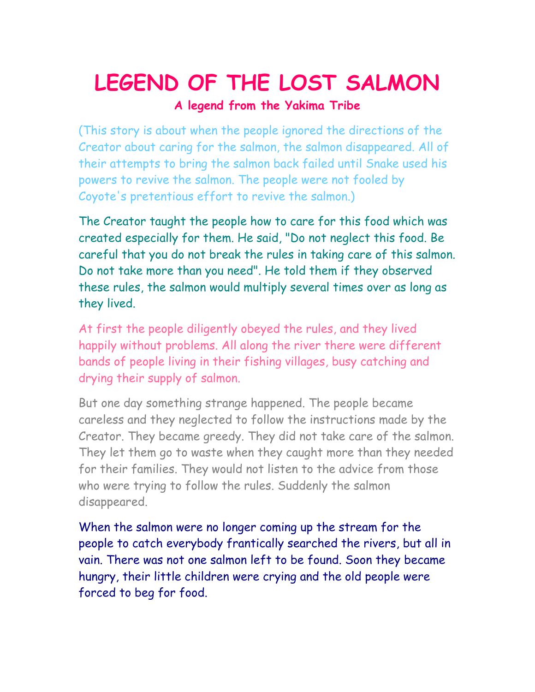## <span id="page-4-0"></span>LEGEND OF THE LOST SALMON

**A legend from the Yakima Tribe**

(This story is about when the people ignored the directions of the Creator about caring for the salmon, the salmon disappeared. All of their attempts to bring the salmon back failed until Snake used his powers to revive the salmon. The people were not fooled by Coyote's pretentious effort to revive the salmon.)

The Creator taught the people how to care for this food which was created especially for them. He said, "Do not neglect this food. Be careful that you do not break the rules in taking care of this salmon. Do not take more than you need". He told them if they observed these rules, the salmon would multiply several times over as long as they lived.

At first the people diligently obeyed the rules, and they lived happily without problems. All along the river there were different bands of people living in their fishing villages, busy catching and drying their supply of salmon.

But one day something strange happened. The people became careless and they neglected to follow the instructions made by the Creator. They became greedy. They did not take care of the salmon. They let them go to waste when they caught more than they needed for their families. They would not listen to the advice from those who were trying to follow the rules. Suddenly the salmon disappeared.

When the salmon were no longer coming up the stream for the people to catch everybody frantically searched the rivers, but all in vain. There was not one salmon left to be found. Soon they became hungry, their little children were crying and the old people were forced to beg for food.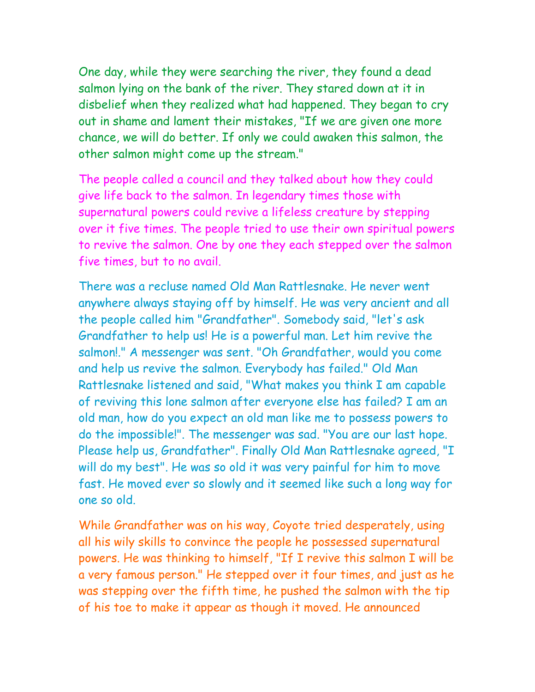One day, while they were searching the river, they found a dead salmon lying on the bank of the river. They stared down at it in disbelief when they realized what had happened. They began to cry out in shame and lament their mistakes, "If we are given one more chance, we will do better. If only we could awaken this salmon, the other salmon might come up the stream."

The people called a council and they talked about how they could give life back to the salmon. In legendary times those with supernatural powers could revive a lifeless creature by stepping over it five times. The people tried to use their own spiritual powers to revive the salmon. One by one they each stepped over the salmon five times, but to no avail.

There was a recluse named Old Man Rattlesnake. He never went anywhere always staying off by himself. He was very ancient and all the people called him "Grandfather". Somebody said, "let's ask Grandfather to help us! He is a powerful man. Let him revive the salmon!." A messenger was sent. "Oh Grandfather, would you come and help us revive the salmon. Everybody has failed." Old Man Rattlesnake listened and said, "What makes you think I am capable of reviving this lone salmon after everyone else has failed? I am an old man, how do you expect an old man like me to possess powers to do the impossible!". The messenger was sad. "You are our last hope. Please help us, Grandfather". Finally Old Man Rattlesnake agreed, "I will do my best". He was so old it was very painful for him to move fast. He moved ever so slowly and it seemed like such a long way for one so old.

While Grandfather was on his way, Coyote tried desperately, using all his wily skills to convince the people he possessed supernatural powers. He was thinking to himself, "If I revive this salmon I will be a very famous person." He stepped over it four times, and just as he was stepping over the fifth time, he pushed the salmon with the tip of his toe to make it appear as though it moved. He announced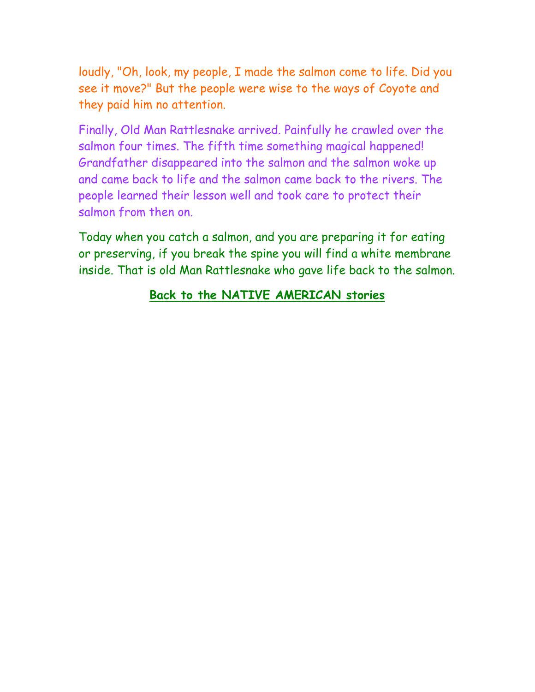loudly, "Oh, look, my people, I made the salmon come to life. Did you see it move?" But the people were wise to the ways of Coyote and they paid him no attention.

Finally, Old Man Rattlesnake arrived. Painfully he crawled over the salmon four times. The fifth time something magical happened! Grandfather disappeared into the salmon and the salmon woke up and came back to life and the salmon came back to the rivers. The people learned their lesson well and took care to protect their salmon from then on.

Today when you catch a salmon, and you are preparing it for eating or preserving, if you break the spine you will find a white membrane inside. That is old Man Rattlesnake who gave life back to the salmon.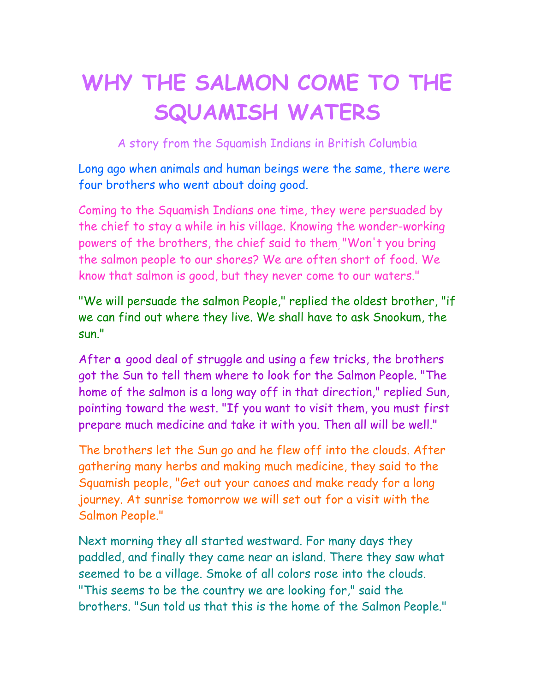## <span id="page-7-0"></span>**WHY THE SALMON COME TO THE SQUAMISH WATERS**

A story from the Squamish Indians in British Columbia

Long ago when animals and human beings were the same, there were four brothers who went about doing good.

Coming to the Squamish Indians one time, they were persuaded by the chief to stay a while in his village. Knowing the wonder-working powers of the brothers, the chief said to them, "Won't you bring the salmon people to our shores? We are often short of food. We know that salmon is good, but they never come to our waters."

"We will persuade the salmon People," replied the oldest brother, "if we can find out where they live. We shall have to ask Snookum, the sun."

After **a** good deal of struggle and using a few tricks, the brothers got the Sun to tell them where to look for the Salmon People. "The home of the salmon is a long way off in that direction," replied Sun, pointing toward the west. "If you want to visit them, you must first prepare much medicine and take it with you. Then all will be well."

The brothers let the Sun go and he flew off into the clouds. After gathering many herbs and making much medicine, they said to the Squamish people, "Get out your canoes and make ready for a long journey. At sunrise tomorrow we will set out for a visit with the Salmon People."

Next morning they all started westward. For many days they paddled, and finally they came near an island. There they saw what seemed to be a village. Smoke of all colors rose into the clouds. "This seems to be the country we are looking for," said the brothers. "Sun told us that this is the home of the Salmon People."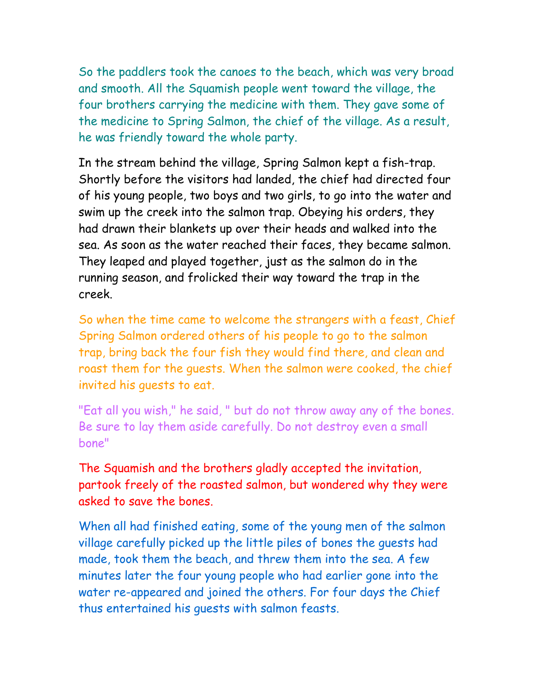So the paddlers took the canoes to the beach, which was very broad and smooth. All the Squamish people went toward the village, the four brothers carrying the medicine with them. They gave some of the medicine to Spring Salmon, the chief of the village. As a result, he was friendly toward the whole party.

In the stream behind the village, Spring Salmon kept a fish-trap. Shortly before the visitors had landed, the chief had directed four of his young people, two boys and two girls, to go into the water and swim up the creek into the salmon trap. Obeying his orders, they had drawn their blankets up over their heads and walked into the sea. As soon as the water reached their faces, they became salmon. They leaped and played together, just as the salmon do in the running season, and frolicked their way toward the trap in the creek.

So when the time came to welcome the strangers with a feast, Chief Spring Salmon ordered others of his people to go to the salmon trap, bring back the four fish they would find there, and clean and roast them for the guests. When the salmon were cooked, the chief invited his guests to eat.

"Eat all you wish," he said, " but do not throw away any of the bones. Be sure to lay them aside carefully. Do not destroy even a small bone"

The Squamish and the brothers gladly accepted the invitation, partook freely of the roasted salmon, but wondered why they were asked to save the bones.

When all had finished eating, some of the young men of the salmon village carefully picked up the little piles of bones the guests had made, took them the beach, and threw them into the sea. A few minutes later the four young people who had earlier gone into the water re-appeared and joined the others. For four days the Chief thus entertained his guests with salmon feasts.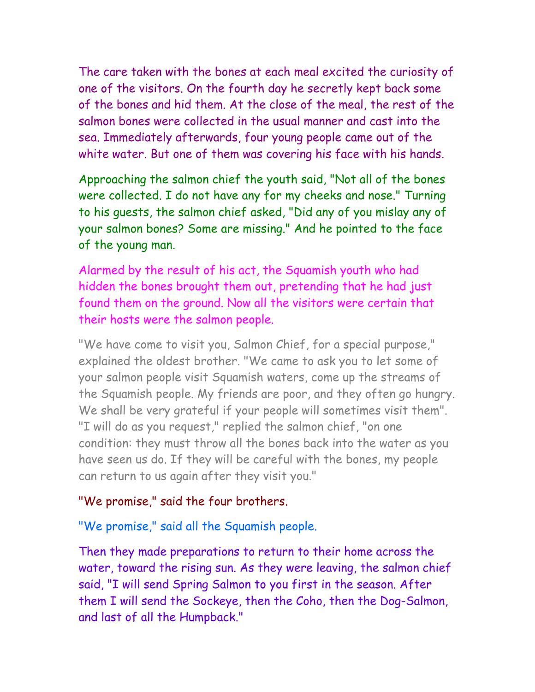The care taken with the bones at each meal excited the curiosity of one of the visitors. On the fourth day he secretly kept back some of the bones and hid them. At the close of the meal, the rest of the salmon bones were collected in the usual manner and cast into the sea. Immediately afterwards, four young people came out of the white water. But one of them was covering his face with his hands.

Approaching the salmon chief the youth said, "Not all of the bones were collected. I do not have any for my cheeks and nose." Turning to his guests, the salmon chief asked, "Did any of you mislay any of your salmon bones? Some are missing." And he pointed to the face of the young man.

Alarmed by the result of his act, the Squamish youth who had hidden the bones brought them out, pretending that he had just found them on the ground. Now all the visitors were certain that their hosts were the salmon people.

"We have come to visit you, Salmon Chief, for a special purpose," explained the oldest brother. "We came to ask you to let some of your salmon people visit Squamish waters, come up the streams of the Squamish people. My friends are poor, and they often go hungry. We shall be very grateful if your people will sometimes visit them". "I will do as you request," replied the salmon chief, "on one condition: they must throw all the bones back into the water as you have seen us do. If they will be careful with the bones, my people can return to us again after they visit you."

#### "We promise," said the four brothers.

"We promise," said all the Squamish people.

Then they made preparations to return to their home across the water, toward the rising sun. As they were leaving, the salmon chief said, "I will send Spring Salmon to you first in the season. After them I will send the Sockeye, then the Coho, then the Dog-Salmon, and last of all the Humpback."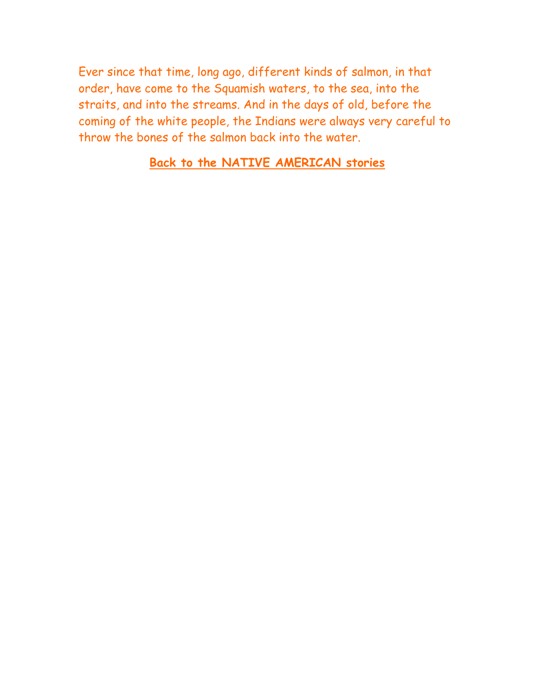Ever since that time, long ago, different kinds of salmon, in that order, have come to the Squamish waters, to the sea, into the straits, and into the streams. And in the days of old, before the coming of the white people, the Indians were always very careful to throw the bones of the salmon back into the water.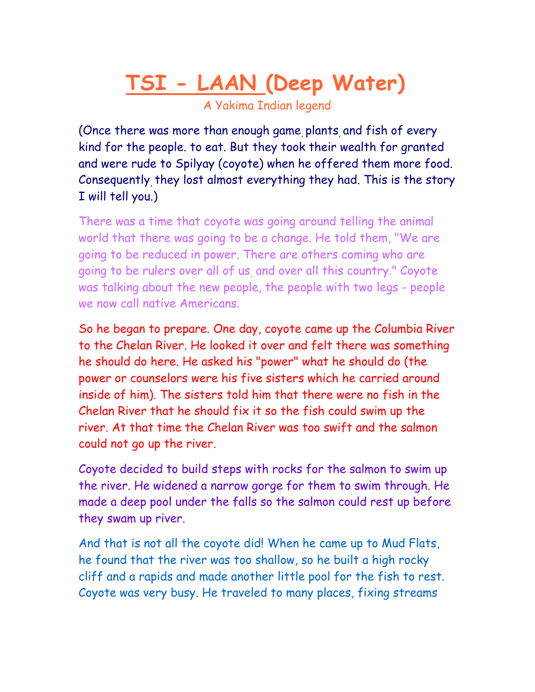<span id="page-11-0"></span>**TSI - LAAN (Deep Water)**

A Yakima Indian legend

(Once there was more than enough game plants and fish of every kind for the people. to eat. But they took their wealth for granted and were rude to Spilyay (coyote) when he offered them more food. Consequently, they lost almost everything they had. This is the story I will tell you.)

There was a time that coyote was going around telling the animal world that there was going to be a change. He told them, "We are going to be reduced in power. There are others coming who are going to be rulers over all of us, and over all this country." Coyote was talking about the new people, the people with two legs - people we now call native Americans.

So he began to prepare. One day, coyote came up the Columbia River to the Chelan River. He looked it over and felt there was something he should do here. He asked his "power" what he should do (the power or counselors were his five sisters which he carried around inside of him). The sisters told him that there were no fish in the Chelan River that he should fix it so the fish could swim up the river. At that time the Chelan River was too swift and the salmon could not go up the river.

Coyote decided to build steps with rocks for the salmon to swim up the river. He widened a narrow gorge for them to swim through. He made a deep pool under the falls so the salmon could rest up before they swam up river.

And that is not all the coyote did! When he came up to Mud Flats, he found that the river was too shallow, so he built a high rocky cliff and a rapids and made another little pool for the fish to rest. Coyote was very busy. He traveled to many places, fixing streams